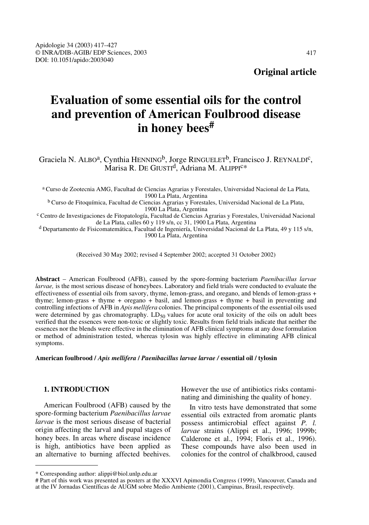**Original article**

# **Evaluation of some essential oils for the control and prevention of American Foulbrood disease in honey bees#**

Graciela N. ALBO<sup>a</sup>, Cynthia HENNING<sup>b</sup>, Jorge RINGUELET<sup>b</sup>, Francisco J. REYNALDI<sup>c</sup>, Marisa R. DE GIUSTI<sup>d</sup>, Adriana M. ALIPPI<sup>C\*</sup>

<sup>a</sup> Curso de Zootecnia AMG, Facultad de Ciencias Agrarias y Forestales, Universidad Nacional de La Plata, 1900 La Plata, Argentina

<sup>b</sup> Curso de Fitoquímica, Facultad de Ciencias Agrarias y Forestales, Universidad Nacional de La Plata,

<sup>c</sup> Centro de Investigaciones de Fitopatología, Facultad de Ciencias Agrarias y Forestales, Universidad Nacional de La Plata, calles 60 y 119 s/n, cc 31, 1900 La Plata, Argentina

<sup>d</sup> Departamento de Fisicomatemática, Facultad de Ingeniería, Universidad Nacional de La Plata, 49 y 115 s/n, 1900 La Plata, Argentina

(Received 30 May 2002; revised 4 September 2002; accepted 31 October 2002)

**Abstract** – American Foulbrood (AFB), caused by the spore-forming bacterium *Paenibacillus larvae larvae,* is the most serious disease of honeybees. Laboratory and field trials were conducted to evaluate the effectiveness of essential oils from savory, thyme, lemon-grass, and oregano, and blends of lemon-grass + thyme; lemon-grass + thyme + oregano + basil, and lemon-grass + thyme + basil in preventing and controlling infections of AFB in *Apis mellifera* colonies. The principal components of the essential oils used were determined by gas chromatography.  $LD_{50}$  values for acute oral toxicity of the oils on adult bees verified that the essences were non-toxic or slightly toxic. Results from field trials indicate that neither the essences nor the blends were effective in the elimination of AFB clinical symptoms at any dose formulation or method of administration tested, whereas tylosin was highly effective in eliminating AFB clinical symptoms.

**American foulbrood /** *Apis mellifera* **/** *Paenibacillus larvae larvae /* **essential oil / tylosin**

#### **1. INTRODUCTION**

American Foulbrood (AFB) caused by the spore-forming bacterium *Paenibacillus larvae larvae* is the most serious disease of bacterial origin affecting the larval and pupal stages of honey bees. In areas where disease incidence is high, antibiotics have been applied as an alternative to burning affected beehives.

However the use of antibiotics risks contaminating and diminishing the quality of honey.

In vitro tests have demonstrated that some essential oils extracted from aromatic plants possess antimicrobial effect against *P. l. larvae* strains (Alippi et al., 1996; 1999b; Calderone et al., 1994; Floris et al., 1996). These compounds have also been used in colonies for the control of chalkbrood, caused

<sup>\*</sup> Corresponding author: alippi@biol.unlp.edu.ar

<sup>#</sup> Part of this work was presented as posters at the XXXVI Apimondia Congress (1999), Vancouver, Canada and at the IV Jornadas Científicas de AUGM sobre Medio Ambiente (2001), Campinas, Brasil, respectively.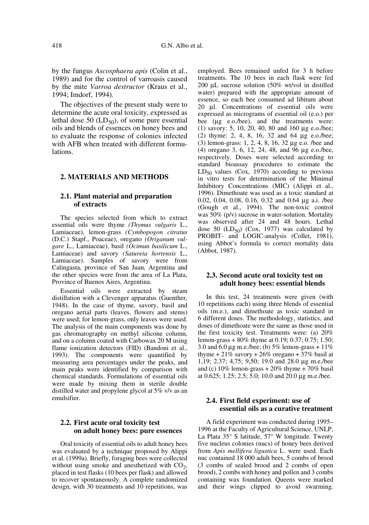by the fungus *Ascosphaera apis* (Colin et al., 1989) and for the control of varroasis caused by the mite *Varroa destructor* (Kraus et al., 1994; Imdorf, 1994)*.*

The objectives of the present study were to determine the acute oral toxicity, expressed as lethal dose 50  $(LD_{50})$ , of some pure essential oils and blends of essences on honey bees and to evaluate the response of colonies infected with AFB when treated with different formulations.

#### **2. MATERIALS AND METHODS**

## **2.1. Plant material and preparation of extracts**

The species selected from which to extract essential oils were thyme *(Thymus vulgaris* L., Lamiaceae), lemon-grass *(Cymbopogon citratus* (D.C.) Stapf., Poaceae), oregano *(Origanum vulgare* L., Lamiaceae), basil *(Ocimun basilicum* L., Lamiaceae) and savory *(Satureia hortensis* L., Lamiaceae). Samples of savory were from Calingasta, province of San Juan, Argentina and the other species were from the area of La Plata, Province of Buenos Aires, Argentina.

Essential oils were extracted by steam distillation with a Clevenger apparatus (Guenther, 1948). In the case of thyme, savory, basil and oregano aerial parts (leaves, flowers and stems) were used; for lemon-grass, only leaves were used. The analysis of the main components was done by gas chromatography on methyl silicone column, and on a column coated with Carbowax 20 M using flame ionization detectors (FID) (Bandoni et al., 1993). The components were quantified by measuring area percentages under the peaks, and main peaks were identified by comparison with chemical standards. Formulations of essential oils were made by mixing them in sterile double distilled water and propylene glycol at 5% v/v as an emulsifier.

#### **2.2. First acute oral toxicity test on adult honey bees: pure essences**

Oral toxicity of essential oils to adult honey bees was evaluated by a technique proposed by Alippi et al. (1999a). Briefly, foraging bees were collected without using smoke and anesthetized with  $CO<sub>2</sub>$ , placed in test flasks (10 bees per flask) and allowed to recover spontaneously. A complete randomized design, with 30 treatments and 10 repetitions, was employed. Bees remained unfed for 3 h before treatments. The 10 bees in each flask were fed 200 µL sucrose solution (50% wt/vol in distilled water) prepared with the appropriate amount of essence, so each bee consumed ad libitum about 20 µl. Concentrations of essential oils were expressed as micrograms of essential oil (e.o.) per bee (µg e.o./bee), and the treatments were: (1) savory: 5, 10, 20, 40, 80 and 160 µg e.o./bee; (2) thyme: 2, 4, 8, 16, 32 and 64 µg e.o./bee; (3) lemon-grass: 1, 2, 4, 8, 16, 32 µg e.o. /bee and (4) oregano 3, 6, 12, 24, 48, and 96 µg e.o./bee, respectively. Doses were selected according to standard bioassay procedures to estimate the  $LD_{50}$  values (Cox, 1970) according to previous in vitro tests for determination of the Minimal Inhibitory Concentrations (MIC) (Alippi et al., 1996). Dimethoate was used as a toxic standard at 0.02, 0.04, 0.08, 0.16, 0.32 and 0.64 µg a.i. /bee (Gough et al., 1994). The non-toxic control was 50% (p/v) sucrose in water-solution. Mortality was observed after 24 and 48 hours. Lethal dose 50  $(LD_{50})$  (Cox, 1977) was calculated by PROBIT- and LOGIC-analysis (Collet, 1981), using Abbot's formula to correct mortality data (Abbot, 1987).

#### **2.3. Second acute oral toxicity test on adult honey bees: essential blends**

In this test, 24 treatments were given (with 10 repetitions each) using three blends of essential oils (m.e.), and dimethoate as toxic standard in 6 different doses. The methodology, statistics, and doses of dimethoate were the same as those used in the first toxicity test. Treatments were: (a) 20% lemon-grass + 80% thyme at 0.19; 0.37; 0.75; 1.50; 3.0 and 6.0  $\mu$ g m.e./bee; (b) 5% lemon-grass + 11% thyme  $+21\%$  savory  $+26\%$  oregano  $+37\%$  basil at 1,19; 2.37; 4,75; 9,50; 19.0 and 28.0 µg m.e./bee and (c)  $10\%$  lemon-grass  $+20\%$  thyme  $+70\%$  basil at 0.625; 1.25; 2.5; 5.0; 10.0 and 20.0 µg m.e./bee.

#### **2.4. First field experiment: use of essential oils as a curative treatment**

A field experiment was conducted during 1995– 1996 at the Faculty of Agricultural Science, UNLP, La Plata 35° S latitude, 57° W longitude. Twenty five nucleus colonies (nucs) of honey bees derived from *Apis mellifera ligustica* L. were used. Each nuc contained 18 000 adult bees, 5 combs of brood (3 combs of sealed brood and 2 combs of open brood), 2 combs with honey and pollen and 3 combs containing wax foundation. Queens were marked and their wings clipped to avoid swarming.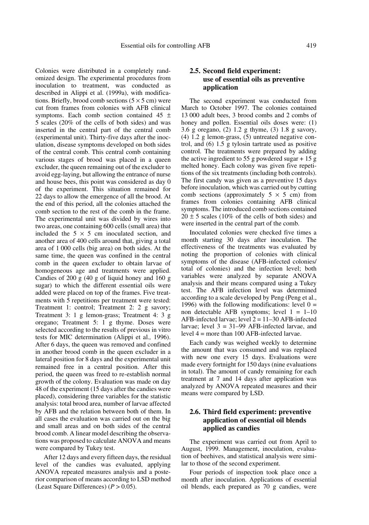Colonies were distributed in a completely randomized design. The experimental procedures from inoculation to treatment, was conducted as described in Alippi et al. (1999a), with modifications. Briefly, brood comb sections  $(5 \times 5 \text{ cm})$  were cut from frames from colonies with AFB clinical symptoms. Each comb section contained 45  $\pm$ 5 scales (20% of the cells of both sides) and was inserted in the central part of the central comb (experimental unit). Thirty-five days after the inoculation, disease symptoms developed on both sides of the central comb. This central comb containing various stages of brood was placed in a queen excluder, the queen remaining out of the excluder to avoid egg-laying, but allowing the entrance of nurse and house bees, this point was considered as day 0 of the experiment. This situation remained for 22 days to allow the emergence of all the brood. At the end of this period, all the colonies attached the comb section to the rest of the comb in the frame. The experimental unit was divided by wires into two areas, one containing 600 cells (small area) that included the  $5 \times 5$  cm inoculated section, and another area of 400 cells around that, giving a total area of 1 000 cells (big area) on both sides. At the same time, the queen was confined in the central comb in the queen excluder to obtain larvae of homogeneous age and treatments were applied. Candies of 200 g (40 g of liquid honey and 160 g sugar) to which the different essential oils were added were placed on top of the frames. Five treatments with 5 repetitions per treatment were tested: Treatment 1: control; Treatment 2: 2 g savory; Treatment 3: 1 g lemon-grass; Treatment 4: 3 g oregano; Treatment 5: 1 g thyme. Doses were selected according to the results of previous in vitro tests for MIC determination (Alippi et al.*,* 1996). After 6 days, the queen was removed and confined in another brood comb in the queen excluder in a lateral position for 8 days and the experimental unit remained free in a central position. After this period, the queen was freed to re-establish normal growth of the colony. Evaluation was made on day 48 of the experiment (15 days after the candies were placed), considering three variables for the statistic analysis: total brood area, number of larvae affected by AFB and the relation between both of them. In all cases the evaluation was carried out on the big and small areas and on both sides of the central brood comb. A linear model describing the observations was proposed to calculate ANOVA and means were compared by Tukey test.

After 12 days and every fifteen days, the residual level of the candies was evaluated, applying ANOVA repeated measures analysis and a posterior comparison of means according to LSD method (Least Square Differences) (*P* > 0.05).

## **2.5. Second field experiment: use of essential oils as preventive application**

The second experiment was conducted from March to October 1997. The colonies contained 13 000 adult bees, 3 brood combs and 2 combs of honey and pollen. Essential oils doses were: (1) 3.6 g oregano, (2) 1.2 g thyme, (3) 1.8 g savory, (4) 1.2 g lemon-grass, (5) untreated negative control, and (6) 1.5 g tylosin tartrate used as positive control. The treatments were prepared by adding the active ingredient to 55 g powdered sugar  $+ 15$  g melted honey. Each colony was given five repetitions of the six treatments (including both controls). The first candy was given as a preventive 15 days before inoculation, which was carried out by cutting comb sections (approximately  $5 \times 5$  cm) from frames from colonies containing AFB clinical symptoms. The introduced comb sections contained  $20 \pm 5$  scales (10% of the cells of both sides) and were inserted in the central part of the comb.

Inoculated colonies were checked five times a month starting 30 days after inoculation. The effectiveness of the treatments was evaluated by noting the proportion of colonies with clinical symptoms of the disease (AFB-infected colonies/ total of colonies) and the infection level; both variables were analyzed by separate ANOVA analysis and their means compared using a Tukey test. The AFB infection level was determined according to a scale developed by Peng (Peng et al., 1996) with the following modifications: level  $0 =$ non detectable AFB symptoms; level  $1 = 1-10$ AFB-infected larvae; level  $2 = 11-30$  AFB-infected larvae; level  $3 = 31-99$  AFB-infected larvae, and level 4 = more than 100 AFB-infected larvae.

Each candy was weighed weekly to determine the amount that was consumed and was replaced with new one every 15 days. Evaluations were made every fortnight for 150 days (nine evaluations in total). The amount of candy remaining for each treatment at 7 and 14 days after application was analyzed by ANOVA repeated measures and their means were compared by LSD.

## **2.6. Third field experiment: preventive application of essential oil blends applied as candies**

The experiment was carried out from April to August, 1999. Management, inoculation, evaluation of beehives, and statistical analysis were similar to those of the second experiment.

Four periods of inspection took place once a month after inoculation. Applications of essential oil blends, each prepared as 70 g candies, were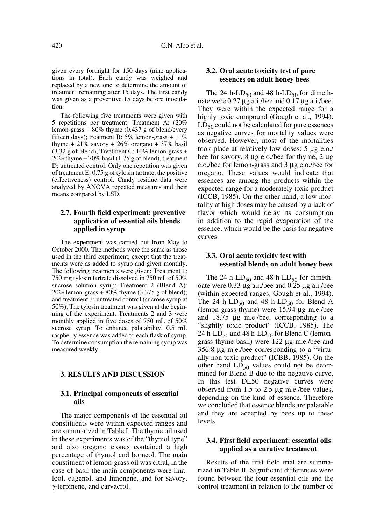given every fortnight for 150 days (nine applications in total). Each candy was weighed and replaced by a new one to determine the amount of treatment remaining after 15 days. The first candy was given as a preventive 15 days before inoculation.

The following five treatments were given with 5 repetitions per treatment: Treatment A: (20% lemon-grass + 80% thyme (0.437 g of blend/every fifteen days); treatment B:  $5\%$  lemon-grass +  $11\%$ thyme +  $21\%$  savory +  $26\%$  oregano +  $37\%$  basil (3.32 g of blend), Treatment C: 10% lemon-grass + 20% thyme + 70% basil (1.75 g of blend), treatment D: untreated control. Only one repetition was given of treatment E: 0.75 g of tylosin tartrate, the positive (effectiveness) control. Candy residue data were analyzed by ANOVA repeated measures and their means compared by LSD.

## **2.7. Fourth field experiment: preventive application of essential oils blends applied in syrup**

The experiment was carried out from May to October 2000. The methods were the same as those used in the third experiment, except that the treatments were as added to syrup and given monthly. The following treatments were given: Treatment 1: 750 mg tylosin tartrate dissolved in 750 mL of 50% sucrose solution syrup; Treatment 2 (Blend A):  $20\%$  lemon-grass + 80% thyme (3.375 g of blend); and treatment 3: untreated control (sucrose syrup at 50%). The tylosin treatment was given at the beginning of the experiment. Treatments 2 and 3 were monthly applied in five doses of 750 mL of 50% sucrose syrup. To enhance palatability, 0.5 mL raspberry essence was added to each flask of syrup. To determine consumption the remaining syrup was measured weekly.

## **3. RESULTS AND DISCUSSION**

#### **3.1. Principal components of essential oils**

The major components of the essential oil constituents were within expected ranges and are summarized in Table I. The thyme oil used in these experiments was of the "thymol type" and also oregano clones contained a high percentage of thymol and borneol. The main constituent of lemon-grass oil was citral, in the case of basil the main components were linalool, eugenol, and limonene, and for savory, γ-terpinene, and carvacrol.

## **3.2. Oral acute toxicity test of pure essences on adult honey bees**

The 24 h-LD<sub>50</sub> and 48 h-LD<sub>50</sub> for dimethoate were 0.27 µg a.i./bee and 0.17 µg a.i./bee. They were within the expected range for a highly toxic compound (Gough et al.*,* 1994).  $LD_{50}$  could not be calculated for pure essences as negative curves for mortality values were observed. However, most of the mortalities took place at relatively low doses: 5 µg e.o./ bee for savory, 8 µg e.o./bee for thyme, 2 µg e.o./bee for lemon-grass and 3 µg e.o./bee for oregano. These values would indicate that essences are among the products within the expected range for a moderately toxic product (ICCB, 1985). On the other hand, a low mortality at high doses may be caused by a lack of flavor which would delay its consumption in addition to the rapid evaporation of the essence, which would be the basis for negative curves.

## **3.3. Oral acute toxicity test with essential blends on adult honey bees**

The 24 h-LD<sub>50</sub> and 48 h-LD<sub>50</sub> for dimethoate were 0.33 µg a.i./bee and 0.25 µg a.i./bee (within expected ranges, Gough et al., 1994). The 24 h-LD<sub>50</sub> and 48 h-LD<sub>50</sub> for Blend A (lemon-grass-thyme) were 15.94 µg m.e./bee and 18.75 µg m.e./bee, corresponding to a "slightly toxic product" (ICCB, 1985). The 24 h-LD $_{50}$  and 48 h-LD $_{50}$  for Blend C (lemongrass-thyme-basil) were 122 µg m.e./bee and 356.8 µg m.e./bee corresponding to a "virtually non toxic product" (ICBB, 1985). On the other hand  $LD_{50}$  values could not be determined for Blend B due to the negative curve. In this test DL50 negative curves were observed from 1.5 to 2.5 µg m.e./bee values, depending on the kind of essence. Therefore we concluded that essence blends are palatable and they are accepted by bees up to these levels.

## **3.4. First field experiment: essential oils applied as a curative treatment**

Results of the first field trial are summarized in Table II. Significant differences were found between the four essential oils and the control treatment in relation to the number of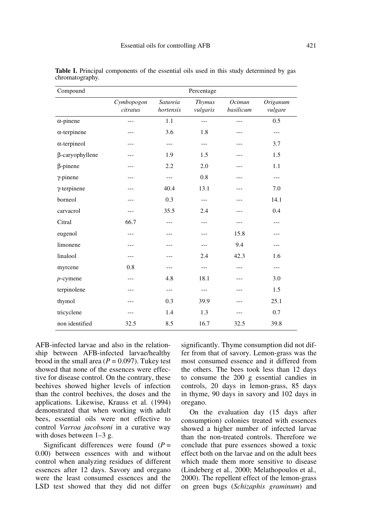| Compound            |                        |                       | Percentage                |                     |                     |
|---------------------|------------------------|-----------------------|---------------------------|---------------------|---------------------|
|                     | Cymbopogon<br>citratus | Satureia<br>hortensis | <b>Thymus</b><br>vulgaris | Ocimun<br>basilicum | Origanum<br>vulgare |
| $\alpha$ -pinene    | ---                    | 1.1                   | $---$                     | ---                 | 0.5                 |
| $\alpha$ -terpinene | ---                    | 3.6                   | 1.8                       | ---                 | ---                 |
| $\alpha$ -terpineol | ---                    | ---                   | $---$                     | ---                 | 3.7                 |
| β-caryophyllene     | ---                    | 1.9                   | 1.5                       | ---                 | 1.5                 |
| $\beta$ -pinene     | ---                    | 2.2                   | 2.0                       | ---                 | 1.1                 |
| $\gamma$ -pinene    | ---                    | $---$                 | 0.8                       | ---                 | ---                 |
| $\gamma$ -terpinene | ---                    | 40.4                  | 13.1                      | ---                 | 7.0                 |
| borneol             | ---                    | 0.3                   | $---$                     | ---                 | 14.1                |
| carvacrol           | ---                    | 35.5                  | 2.4                       | ---                 | 0.4                 |
| Citral              | 66.7                   | ---                   | ---                       | ---                 | ---                 |
| eugenol             | $---$                  | ---                   | ---                       | 15.8                | ---                 |
| limonene            | ---                    | ---                   | ---                       | 9.4                 | $ -$                |
| linalool            | ---                    | ---                   | 2.4                       | 42.3                | 1.6                 |
| myrcene             | 0.8                    | ---                   | $---$                     | ---                 | ---                 |
| $p$ -cymene         | ---                    | 4.8                   | 18.1                      | ---                 | 3.0                 |
| terpinolene         | ---                    | ---                   | $---$                     |                     | 1.5                 |
| thymol              | ---                    | 0.3                   | 39.9                      | ---                 | 25.1                |
| tricyclene          | ---                    | 1.4                   | 1.3                       | ---                 | 0.7                 |
| non identified      | 32.5                   | 8.5                   | 16.7                      | 32.5                | 39.8                |

**Table I.** Principal components of the essential oils used in this study determined by gas chromatography.

AFB-infected larvae and also in the relationship between AFB-infected larvae/healthy brood in the small area  $(P = 0.097)$ . Tukey test showed that none of the essences were effective for disease control. On the contrary, these beehives showed higher levels of infection than the control beehives, the doses and the applications. Likewise, Krauss et al. (1994) demonstrated that when working with adult bees, essential oils were not effective to control *Varroa jacobsoni* in a curative way with doses between 1–3 g.

Significant differences were found (*P* = 0.00) between essences with and without control when analyzing residues of different essences after 12 days. Savory and oregano were the least consumed essences and the LSD test showed that they did not differ significantly. Thyme consumption did not differ from that of savory. Lemon-grass was the most consumed essence and it differed from the others. The bees took less than 12 days to consume the 200 g essential candies in controls, 20 days in lemon-grass, 85 days in thyme, 90 days in savory and 102 days in oregano.

On the evaluation day (15 days after consumption) colonies treated with essences showed a higher number of infected larvae than the non-treated controls. Therefore we conclude that pure essences showed a toxic effect both on the larvae and on the adult bees which made them more sensitive to disease (Lindeberg et al*.,* 2000; Melathopoulos et al.*,* 2000). The repellent effect of the lemon-grass on green bugs (*Schizaphis graminum*) and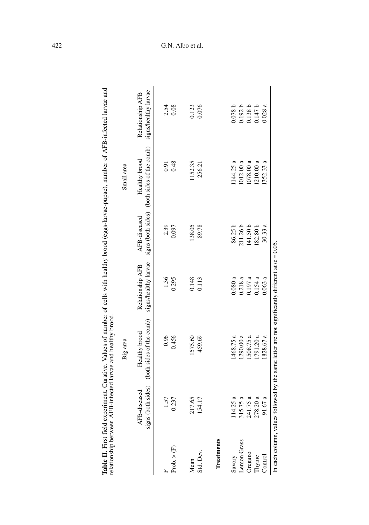|                        |                                       | Table II. First field experiment. Curative. Values of number of cells with healthy brood (eggs-larvae-pupae), number of AFB-infected larvae and<br>relationship between AFB-infected larvae and healthy brood |                                          |                     |                                                              |                                          |
|------------------------|---------------------------------------|---------------------------------------------------------------------------------------------------------------------------------------------------------------------------------------------------------------|------------------------------------------|---------------------|--------------------------------------------------------------|------------------------------------------|
|                        |                                       | Big area                                                                                                                                                                                                      |                                          |                     | Small area                                                   |                                          |
|                        | (both sides)<br>AFB-diseased<br>signs | (both sides of the comb)<br>Healthy brood                                                                                                                                                                     | signs/healthy larvae<br>Relationship AFB | AFB-diseased        | signs (both sides) (both sides of the comb)<br>Healthy brood | signs/healthy larvae<br>Relationship AFB |
|                        | 1.57                                  | 0.96                                                                                                                                                                                                          | 1.36                                     | 2.39                | 0.91                                                         |                                          |
| Prob. > (F)            | 0.237                                 | 0.456                                                                                                                                                                                                         | 0.295                                    | 0.097               | 0.48                                                         | $2.54$<br>0.08                           |
| Mean                   | 217.65                                | 1575.60                                                                                                                                                                                                       | 0.148                                    | 138.05              | 152.35                                                       | 0.123                                    |
| Std. Dev.              | 154.17                                | 459.69                                                                                                                                                                                                        | 0.113                                    | 89.78               | 256.21                                                       | 0.076                                    |
| Treatments             |                                       |                                                                                                                                                                                                               |                                          |                     |                                                              |                                          |
| Savory                 | 14.25a                                | 1468.75 a                                                                                                                                                                                                     | 0.080a                                   | 86.25 b             | 144.25a                                                      | 0.078b                                   |
| Lemon Grass            | 15.75a                                | 1290.00 a                                                                                                                                                                                                     | 0.218a                                   | 211.26b             | 1012.00 a                                                    | 0.192 b                                  |
| Oregano                | 41.75 a<br>9 S                        | 508.75 a                                                                                                                                                                                                      | 0.197a                                   | 141.50 <sub>b</sub> | 1078.00 a                                                    | 0.138 b                                  |
| Thyme                  | 78.20 a                               | l 791.20 a                                                                                                                                                                                                    | 0.154a                                   | 182.80 <sub>b</sub> | 1210.00 a                                                    | 0.147b                                   |
| Control                | 91.67a                                | 828.67 a                                                                                                                                                                                                      | $0.063$ a                                | 30.33a              | 1352.33 a                                                    | 0.028a                                   |
| In each column, values |                                       | followed by the same letter are not significantly different at $\alpha = 0.05$                                                                                                                                |                                          |                     |                                                              |                                          |

Table II. First field experiment. Curative. Values of number of cells with healthy brood (eggs-larvae-pupae), number of AFB-infected larvae and relationship between AFB-infected larvae and healthy brood.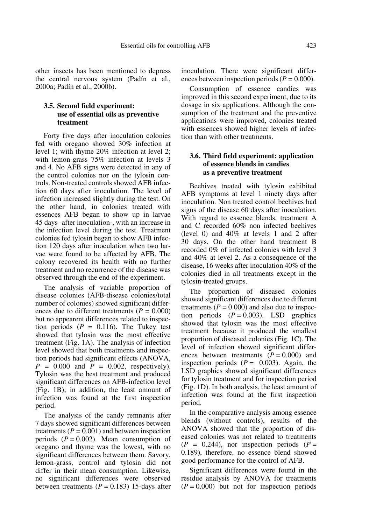other insects has been mentioned to depress the central nervous system (Padín et al., 2000a; Padín et al., 2000b).

## **3.5. Second field experiment: use of essential oils as preventive treatment**

Forty five days after inoculation colonies fed with oregano showed 30% infection at level 1; with thyme 20% infection at level 2; with lemon-grass 75% infection at levels 3 and 4. No AFB signs were detected in any of the control colonies nor on the tylosin controls. Non-treated controls showed AFB infection 60 days after inoculation. The level of infection increased slightly during the test. On the other hand, in colonies treated with essences AFB began to show up in larvae 45 days -after inoculation-, with an increase in the infection level during the test. Treatment colonies fed tylosin began to show AFB infection 120 days after inoculation when two larvae were found to be affected by AFB. The colony recovered its health with no further treatment and no recurrence of the disease was observed through the end of the experiment.

The analysis of variable proportion of disease colonies (AFB-disease colonies/total number of colonies) showed significant differences due to different treatments  $(P = 0.000)$ but no appearent differences related to inspection periods  $(P = 0.116)$ . The Tukey test showed that tylosin was the most effective treatment (Fig. 1A). The analysis of infection level showed that both treatments and inspection periods had significant effects (ANOVA,  $P = 0.000$  and  $P = 0.002$ , respectively). Tylosin was the best treatment and produced significant differences on AFB-infection level (Fig. 1B); in addition, the least amount of infection was found at the first inspection period.

The analysis of the candy remnants after 7 days showed significant differences between treatments  $(P = 0.001)$  and between inspection periods  $(P = 0.002)$ . Mean consumption of oregano and thyme was the lowest, with no significant differences between them. Savory, lemon-grass, control and tylosin did not differ in their mean consumption. Likewise, no significant differences were observed between treatments  $(P = 0.183)$  15-days after inoculation. There were significant differences between inspection periods  $(P = 0.000)$ .

Consumption of essence candies was improved in this second experiment, due to its dosage in six applications. Although the consumption of the treatment and the preventive applications were improved, colonies treated with essences showed higher levels of infection than with other treatments.

## **3.6. Third field experiment: application of essence blends in candies as a preventive treatment**

Beehives treated with tylosin exhibited AFB symptoms at level 1 ninety days after inoculation. Non treated control beehives had signs of the disease 60 days after inoculation. With regard to essence blends, treatment A and C recorded 60% non infected beehives (level 0) and 40% at levels 1 and 2 after 30 days. On the other hand treatment B recorded 0% of infected colonies with level 3 and 40% at level 2. As a consequence of the disease, 16 weeks after inoculation 40% of the colonies died in all treatments except in the tylosin-treated groups.

The proportion of diseased colonies showed significant differences due to different treatments  $(P = 0.000)$  and also due to inspection periods  $(P = 0.003)$ . LSD graphics showed that tylosin was the most effective treatment because it produced the smallest proportion of diseased colonies (Fig. 1C). The level of infection showed significant differences between treatments  $(P = 0.000)$  and inspection periods  $(P = 0.003)$ . Again, the LSD graphics showed significant differences for tylosin treatment and for inspection period (Fig. 1D). In both analysis, the least amount of infection was found at the first inspection period.

In the comparative analysis among essence blends (without controls), results of the ANOVA showed that the proportion of diseased colonies was not related to treatments  $(P = 0.244)$ , nor inspection periods  $(P =$ 0.189), therefore, no essence blend showed good performance for the control of AFB.

Significant differences were found in the residue analysis by ANOVA for treatments  $(P = 0.000)$  but not for inspection periods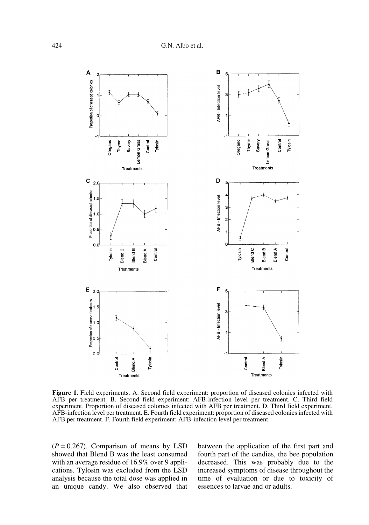

**Figure 1.** Field experiments. A. Second field experiment: proportion of diseased colonies infected with AFB per treatment. B. Second field experiment: AFB-infection level per treatment. C. Third field experiment. Proportion of diseased colonies infected with AFB per treatment. D. Third field experiment. AFB-infection level per treatment. E. Fourth field experiment: proportion of diseased colonies infected with AFB per treatment. F. Fourth field experiment: AFB-infection level per treatment.

 $(P = 0.267)$ . Comparison of means by LSD showed that Blend B was the least consumed with an average residue of 16.9% over 9 applications. Tylosin was excluded from the LSD analysis because the total dose was applied in an unique candy. We also observed that

between the application of the first part and fourth part of the candies, the bee population decreased. This was probably due to the increased symptoms of disease throughout the time of evaluation or due to toxicity of essences to larvae and or adults.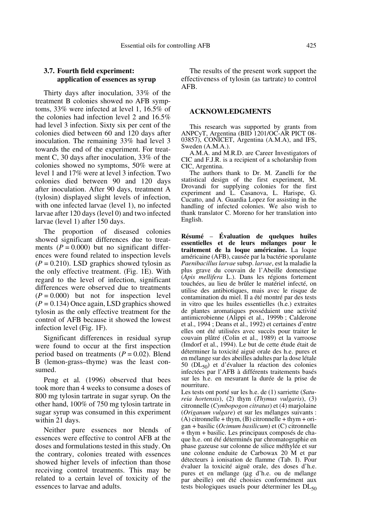## **3.7. Fourth field experiment: application of essences as syrup**

Thirty days after inoculation, 33% of the treatment B colonies showed no AFB symptoms, 33% were infected at level 1, 16.5% of the colonies had infection level 2 and 16.5% had level 3 infection. Sixty six per cent of the colonies died between 60 and 120 days after inoculation. The remaining 33% had level 3 towards the end of the experiment. For treatment C, 30 days after inoculation, 33% of the colonies showed no symptoms, 50% were at level 1 and 17% were at level 3 infection. Two colonies died between 90 and 120 days after inoculation. After 90 days, treatment A (tylosin) displayed slight levels of infection, with one infected larvae (level 1), no infected larvae after 120 days (level 0) and two infected larvae (level 1) after 150 days.

The proportion of diseased colonies showed significant differences due to treatments  $(P = 0.000)$  but no significant differences were found related to inspection levels  $(P = 0.210)$ . LSD graphics showed tylosin as the only effective treatment. (Fig. 1E). With regard to the level of infection, significant differences were observed due to treatments  $(P = 0.000)$  but not for inspection level  $(P = 0.134)$  Once again, LSD graphics showed tylosin as the only effective treatment for the control of AFB because it showed the lowest infection level (Fig. 1F).

Significant differences in residual syrup were found to occur at the first inspection period based on treatments  $(P = 0.02)$ . Blend B (lemon-grass–thyme) was the least consumed.

Peng et al.  $(1996)$  observed that bees took more than 4 weeks to consume a doses of 800 mg tylosin tartrate in sugar syrup. On the other hand, 100% of 750 mg tylosin tartrate in sugar syrup was consumed in this experiment within 21 days.

Neither pure essences nor blends of essences were effective to control AFB at the doses and formulations tested in this study. On the contrary, colonies treated with essences showed higher levels of infection than those receiving control treatments. This may be related to a certain level of toxicity of the essences to larvae and adults.

The results of the present work support the effectiveness of tylosin (as tartrate) to control AFB.

#### **ACKNOWLEDGMENTS**

This research was supported by grants from ANPCyT, Argentina (BID 1201/OC-AR PICT 08- 03857), CONICET, Argentina (A.M.A), and IFS, Sweden (A.M.A.).

A.M.A. and M.R.D. are Career Investigators of CIC and F.J.R. is a recipient of a scholarship from CIC, Argentina.

The authors thank to Dr. M. Zanelli for the statistical design of the first experiment, M. Drovandi for supplying colonies for the first experiment and L. Casanova, L. Harispe, G. Cucatto, and A. Guardia Lopez for assisting in the handling of infected colonies. We also wish to thank translator C. Moreno for her translation into English.

**Résumé** – **Évaluation de quelques huiles essentielles et de leurs mélanges pour le traitement de la loque américaine.** La loque américaine (AFB), causée par la bactérie sporulante *Paenibacillus larvae* subsp. *larvae*, est la maladie la plus grave du couvain de l'Abeille domestique (*Apis mellifera* L.). Dans les régions fortement touchées, au lieu de brûler le matériel infecté, on utilise des antibiotiques, mais avec le risque de contamination du miel. Il a été montré par des tests in vitro que les huiles essentielles (h.e.) extraites de plantes aromatiques possédaient une activité antimicrobienne (Alippi et al., 1999b ; Calderone et al., 1994 ; Deans et al., 1992) et certaines d'entre elles ont été utilisées avec succès pour traiter le couvain plâtré (Colin et al., 1989) et la varroose (Imdorf et al., 1994). Le but de cette étude était de déterminer la toxicité aiguë orale des h.e. pures et en mélange sur des abeilles adultes par la dose létale 50 ( $DL_{50}$ ) et d'évaluer la réaction des colonies infectées par l'AFB à différents traitements basés sur les h.e. en mesurant la durée de la prise de nourriture.

Les tests ont porté sur les h.e. de (1) sarriette (*Satureia hortensis*), (2) thym (*Thymus vulgaris*), (3) citronnelle (*Cymbopogon citratus*) et (4) marjolaine (*Origanum vulgare*) et sur les mélanges suivants :  $(A)$  citronnelle + thym,  $(B)$  citronnelle + thym + origan + basilic (*Ocimum basilicum*) et (C) citronnelle + thym + basilic. Les principaux composés de chaque h.e. ont été déterminés par chromatographie en phase gazeuse sur colonne de silice méthylée et sur une colonne enduite de Carbowax 20 M et par détecteurs à ionisation de flamme (Tab. I). Pour évaluer la toxicité aiguë orale, des doses d'h.e. pures et en mélange (µg d'h.e. ou de mélange par abeille) ont été choisies conformément aux tests biologiques usuels pour déterminer les  $DL<sub>50</sub>$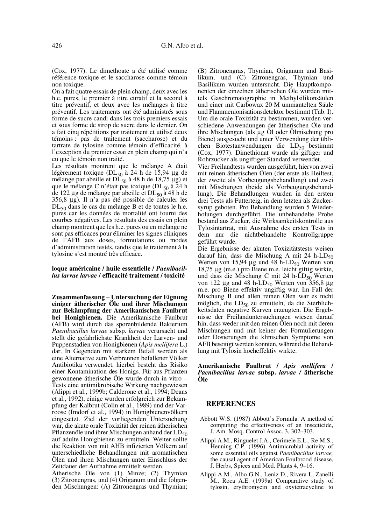(Cox, 1977). Le dimethoate a été utilisé comme référence toxique et le saccharose comme témoin non toxique.

On a fait quatre essais de plein champ, deux avec les h.e. pures, le premier à titre curatif et la second à titre préventif, et deux avec les mélanges à titre préventif. Les traitements ont été administrés sous forme de sucre candi dans les trois premiers essais et sous forme de sirop de sucre dans le dernier. On a fait cinq répétitions par traitement et utilisé deux témoins : pas de traitement (saccharose) et du tartrate de tylosine comme témoin d'efficacité, à l'exception du premier essai en plein champ qui n'a eu que le témoin non traité.

Les résultats montrent que le mélange A était légèrement toxique (DL $_{50}$  à 24 h de 15,94 µg de mélange par abeille et  $DL_{50}$  à 48 h de 18,75 µg) et que le mélange C n'était pas toxique ( $DL_{50}$  à 24 h de 122 µg de mélange par abeille et  $DL_{50}$  à 48 h de 356,8 µg). Il n'a pas été possible de calculer les DL<sub>50</sub> dans le cas du mélange B et de toutes le h.e. pures car les données de mortalité ont fourni des courbes négatives. Les résultats des essais en plein champ montrent que les h.e. pures ou en mélange ne sont pas efficaces pour éliminer les signes cliniques de l'AFB aux doses, formulations ou modes d'administration testés, tandis que le traitement à la tylosine s'est montré très efficace.

#### **loque américaine / huile essentielle /** *Paenibacillus larvae larvae* **/ efficacité traitement / toxicité**

**Zusammenfassung** – **Untersuchung der Eignung einiger ätherischer Öle und ihrer Mischungen zur Bekämpfung der Amerikanischen Faulbrut bei Honigbienen.** Die Amerikanische Faulbrut (AFB) wird durch das sporenbildende Bakterium *Paenibacillus larvae* subsp. *larvae* verursacht und stellt die gefährlichste Krankheit der Larven- und Puppenstadien von Honigbienen (*Apis mellifera* L.) dar. In Gegenden mit starkem Befall werden als eine Alternative zum Verbrennen befallener Völker Antibiotika verwendet, hierbei besteht das Risiko einer Kontamination des Honigs. Für aus Pflanzen gewonnene ätherische Öle wurde durch in vitro – Tests eine antimikrobische Wirkung nachgewiesen (Alippi et al., 1999b; Calderone et al., 1994; Deans et al., 1992), einige wurden erfolgreich zur Bekämpfung der Kalbrut (Colin et al., 1989) und der Varroose (Imdorf et al., 1994) in Honigbienenvölkern eingesetzt. Ziel der vorliegenden Untersuchung war, die akute orale Toxizität der reinen ätherischen Pflanzenöle und ihrer Mischungen anhand der  $LD_{50}$ auf adulte Honigbienen zu ermitteln. Weiter sollte die Reaktion von mit AHB infizierten Völkern auf unterschiedliche Behandlungen mit aromatischen Ölen und ihren Mischungen unter Einschluss der Zeitdauer der Aufnahme ermittelt werden.

Ätherische Öle von (1) Minze; (2) Thymian (3) Zitronengras, und (4) Origanum und die folgenden Mischungen: (A) Zitronengras und Thymian;

(B) Zitronengras, Thymian, Origanum und Basilikum, und (C) Zitronengras, Thymian und Basilikum wurden untersucht. Die Hauptkomponenten der einzelnen ätherischen Öle wurden mittels Gaschromatographie in Methylsilikonsäulen und einer mit Carbowax 20 M ummantelten Säule und Flammenionisationsdetektor bestimmt (Tab. I). Um die orale Toxizität zu bestimmen, wurden verschiedene Anwendungen der ätherischen Öle und ihre Mischungen (als µg Öl oder Ölmischung pro Biene) ausgesucht und unter Verwendung der üblichen Biotestanwendungen die  $LD_{50}$  bestimmt (Cox, 1977). Dimethionat wurde als giftiger und Rohrzucker als ungiftiger Standard verwendet.

Vier Freilandtests wurden ausgeführt, hiervon zwei mit reinen ätherischen Ölen (der erste als Heiltest, der zweite als Vorbeugungsbehandlung) und zwei mit Mischungen (beide als Vorbeugungsbehandlung). Die Behandlungen wurden in den ersten drei Tests als Futterteig, in dem letzten als Zuckersyrup geboten. Pro Behandlung wurden 5 Wiederholungen durchgeführt. Die unbehandelte Probe bestand aus Zucker, die Wirksamkeitskontrolle aus Tylosintartrat, mit Ausnahme des ersten Tests in dem nur die nichtbehandelte Kontrollgruppe geführt wurde.

Die Ergebnisse der akuten Toxizitätstests weisen darauf hin, dass die Mischung A mit 24 h-LD $_{50}$ Werten von 15,94  $\mu$ g und 48 h-LD<sub>50</sub> Werten von 18,75 µg (m.e.) pro Biene m.e. leicht giftig wirkte, und dass die Mischung C mit 24 h-LD<sub>50</sub> Werten von 122  $\mu$ g and 48 h-LD<sub>50</sub> Werten von 356,8  $\mu$ g m.e. pro Biene effektiv ungiftig war. Im Fall der Mischung B und allen reinen Ölen war es nicht möglich, die LD<sub>50</sub> zu ermitteln, da die Sterblichkeitsdaten negative Kurven erzeugten. Die Ergebnisse der Freilanduntersuchungen wiesen darauf hin, dass weder mit den reinen Ölen noch mit deren Mischungen und mit keiner der Formulierungen oder Dosierungen die klinischen Symptome von AFB beseitigt werden konnten, während die Behandlung mit Tylosin hocheffektiv wirkte.

#### **Amerikanische Faulbrut /** *Apis mellifera* **/** *Paenibacillus larvae* **subsp.** *larvae /* **ätherische Öle**

#### **REFERENCES**

- Abbott W.S. (1987) Abbott's Formula. A method of computing the effectiveness of an insecticide, J. Am. Mosq. Control Assoc. 3, 302–303.
- Alippi A.M., Ringuelet J.A., Cerimele E.L., Re M.S., Henning C.P. (1996) Antimicrobial activity of some essential oils against *Paenibacillus larvae,* the causal agent of American Foulbrood disease, J. Herbs, Spices and Med. Plants 4, 9–16.
- Alippi A.M., Albo G.N., Leniz D., Rivera I., Zanelli M., Roca A.E. (1999a) Comparative study of tylosin, erythromycin and oxytetracycline to